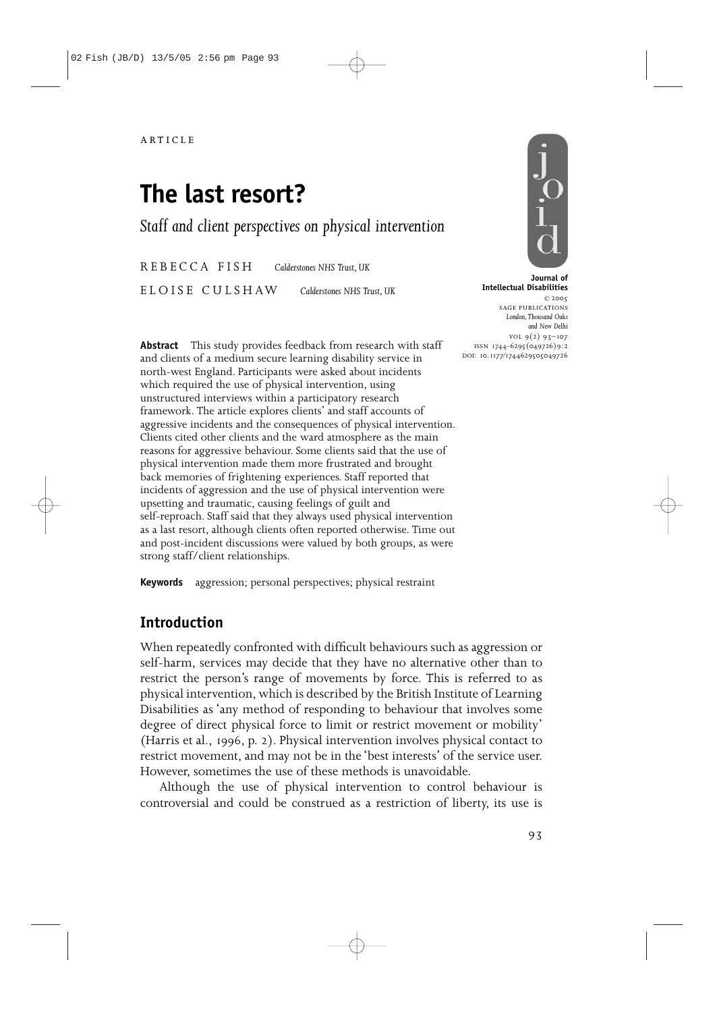# **The last resort?**

*Staff and client perspectives on physical intervention*

REBECCA FISH *Calderstones NHS Trust, UK*

ELOISE CULSHAW *Calderstones NHS Trust, UK*

**Abstract** This study provides feedback from research with staff and clients of a medium secure learning disability service in north-west England. Participants were asked about incidents which required the use of physical intervention, using unstructured interviews within a participatory research framework. The article explores clients' and staff accounts of aggressive incidents and the consequences of physical intervention. Clients cited other clients and the ward atmosphere as the main reasons for aggressive behaviour. Some clients said that the use of physical intervention made them more frustrated and brought back memories of frightening experiences. Staff reported that incidents of aggression and the use of physical intervention were upsetting and traumatic, causing feelings of guilt and self-reproach. Staff said that they always used physical intervention as a last resort, although clients often reported otherwise. Time out and post-incident discussions were valued by both groups, as were strong staff/client relationships.

**Keywords** aggression; personal perspectives; physical restraint

# **Introduction**

When repeatedly confronted with difficult behaviours such as aggression or self-harm, services may decide that they have no alternative other than to restrict the person's range of movements by force. This is referred to as physical intervention, which is described by the British Institute of Learning Disabilities as 'any method of responding to behaviour that involves some degree of direct physical force to limit or restrict movement or mobility' (Harris et al., 1996, p. 2). Physical intervention involves physical contact to restrict movement, and may not be in the 'best interests' of the service user. However, sometimes the use of these methods is unavoidable.

Although the use of physical intervention to control behaviour is controversial and could be construed as a restriction of liberty, its use is



**Journal of Intellectual Disabilities** © 2005 sage publications *London,Thousand Oaks and New Delhi*  $VOL 9(2) 93-107$ issn 1744-6295(049726)9:2 DOI: 10.1177/1744629505049726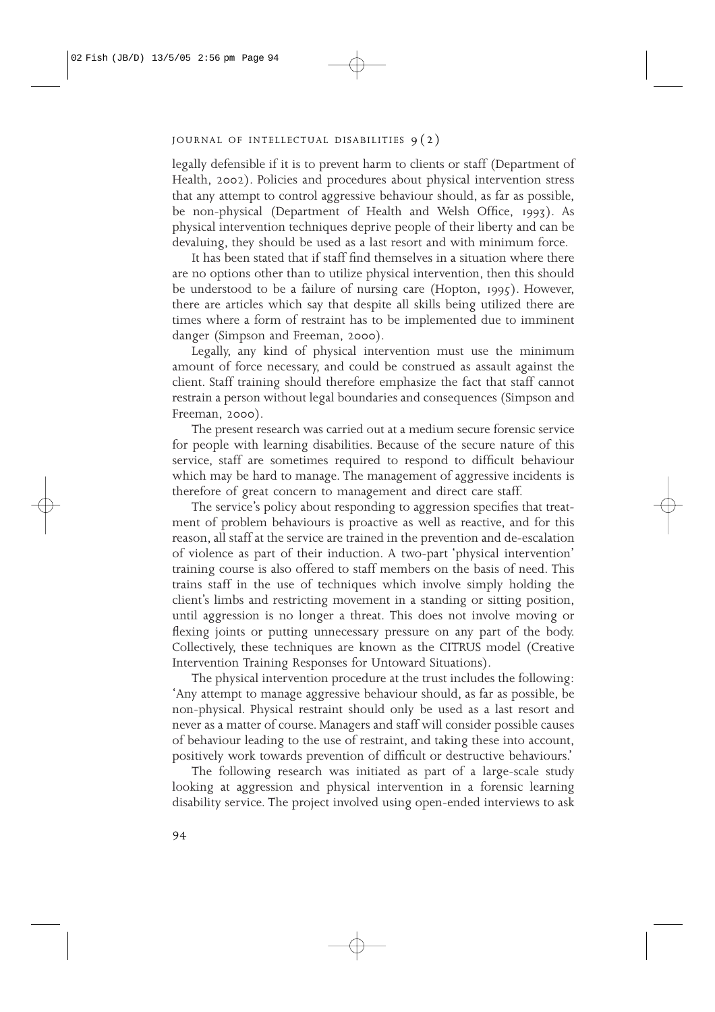legally defensible if it is to prevent harm to clients or staff (Department of Health, 2002). Policies and procedures about physical intervention stress that any attempt to control aggressive behaviour should, as far as possible, be non-physical (Department of Health and Welsh Office, 1993). As physical intervention techniques deprive people of their liberty and can be devaluing, they should be used as a last resort and with minimum force.

It has been stated that if staff find themselves in a situation where there are no options other than to utilize physical intervention, then this should be understood to be a failure of nursing care (Hopton, 1995). However, there are articles which say that despite all skills being utilized there are times where a form of restraint has to be implemented due to imminent danger (Simpson and Freeman, 2000).

Legally, any kind of physical intervention must use the minimum amount of force necessary, and could be construed as assault against the client. Staff training should therefore emphasize the fact that staff cannot restrain a person without legal boundaries and consequences (Simpson and Freeman, 2000).

The present research was carried out at a medium secure forensic service for people with learning disabilities. Because of the secure nature of this service, staff are sometimes required to respond to difficult behaviour which may be hard to manage. The management of aggressive incidents is therefore of great concern to management and direct care staff.

The service's policy about responding to aggression specifies that treatment of problem behaviours is proactive as well as reactive, and for this reason, all staff at the service are trained in the prevention and de-escalation of violence as part of their induction. A two-part 'physical intervention' training course is also offered to staff members on the basis of need. This trains staff in the use of techniques which involve simply holding the client's limbs and restricting movement in a standing or sitting position, until aggression is no longer a threat. This does not involve moving or flexing joints or putting unnecessary pressure on any part of the body. Collectively, these techniques are known as the CITRUS model (Creative Intervention Training Responses for Untoward Situations).

The physical intervention procedure at the trust includes the following: 'Any attempt to manage aggressive behaviour should, as far as possible, be non-physical. Physical restraint should only be used as a last resort and never as a matter of course. Managers and staff will consider possible causes of behaviour leading to the use of restraint, and taking these into account, positively work towards prevention of difficult or destructive behaviours.'

The following research was initiated as part of a large-scale study looking at aggression and physical intervention in a forensic learning disability service. The project involved using open-ended interviews to ask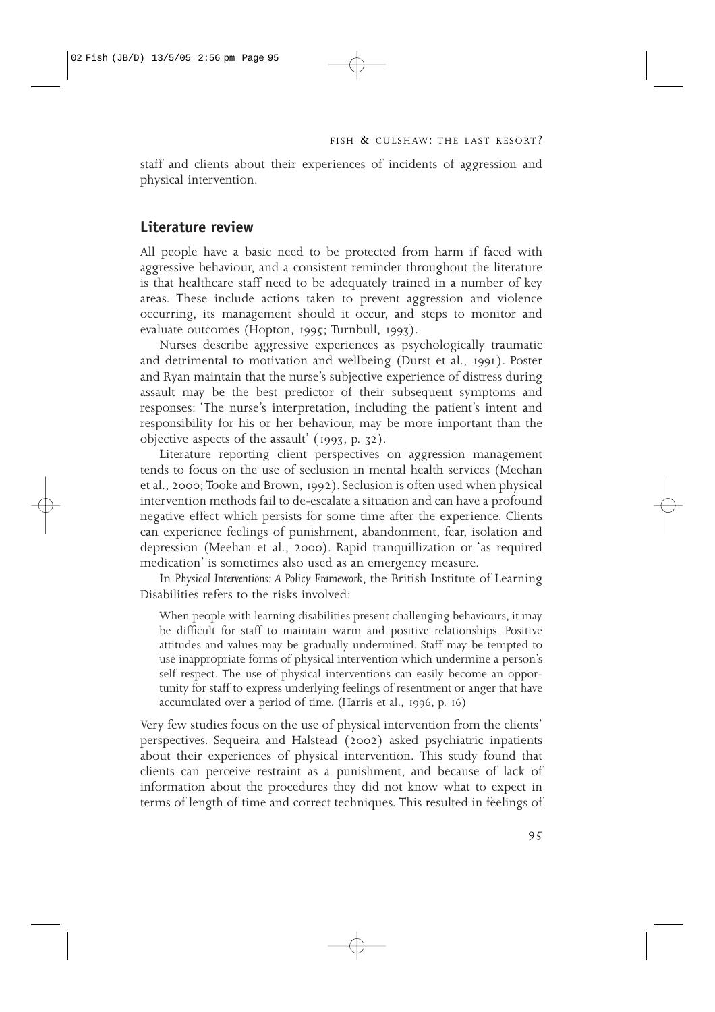staff and clients about their experiences of incidents of aggression and physical intervention.

## **Literature review**

All people have a basic need to be protected from harm if faced with aggressive behaviour, and a consistent reminder throughout the literature is that healthcare staff need to be adequately trained in a number of key areas. These include actions taken to prevent aggression and violence occurring, its management should it occur, and steps to monitor and evaluate outcomes (Hopton, 1995; Turnbull, 1993).

Nurses describe aggressive experiences as psychologically traumatic and detrimental to motivation and wellbeing (Durst et al., 1991). Poster and Ryan maintain that the nurse's subjective experience of distress during assault may be the best predictor of their subsequent symptoms and responses: 'The nurse's interpretation, including the patient's intent and responsibility for his or her behaviour, may be more important than the objective aspects of the assault' (1993, p. 32).

Literature reporting client perspectives on aggression management tends to focus on the use of seclusion in mental health services (Meehan et al., 2000; Tooke and Brown, 1992). Seclusion is often used when physical intervention methods fail to de-escalate a situation and can have a profound negative effect which persists for some time after the experience. Clients can experience feelings of punishment, abandonment, fear, isolation and depression (Meehan et al., 2000). Rapid tranquillization or 'as required medication' is sometimes also used as an emergency measure.

In *Physical Interventions: A Policy Framework*, the British Institute of Learning Disabilities refers to the risks involved:

When people with learning disabilities present challenging behaviours, it may be difficult for staff to maintain warm and positive relationships. Positive attitudes and values may be gradually undermined. Staff may be tempted to use inappropriate forms of physical intervention which undermine a person's self respect. The use of physical interventions can easily become an opportunity for staff to express underlying feelings of resentment or anger that have accumulated over a period of time. (Harris et al., 1996, p. 16)

Very few studies focus on the use of physical intervention from the clients' perspectives. Sequeira and Halstead (2002) asked psychiatric inpatients about their experiences of physical intervention. This study found that clients can perceive restraint as a punishment, and because of lack of information about the procedures they did not know what to expect in terms of length of time and correct techniques. This resulted in feelings of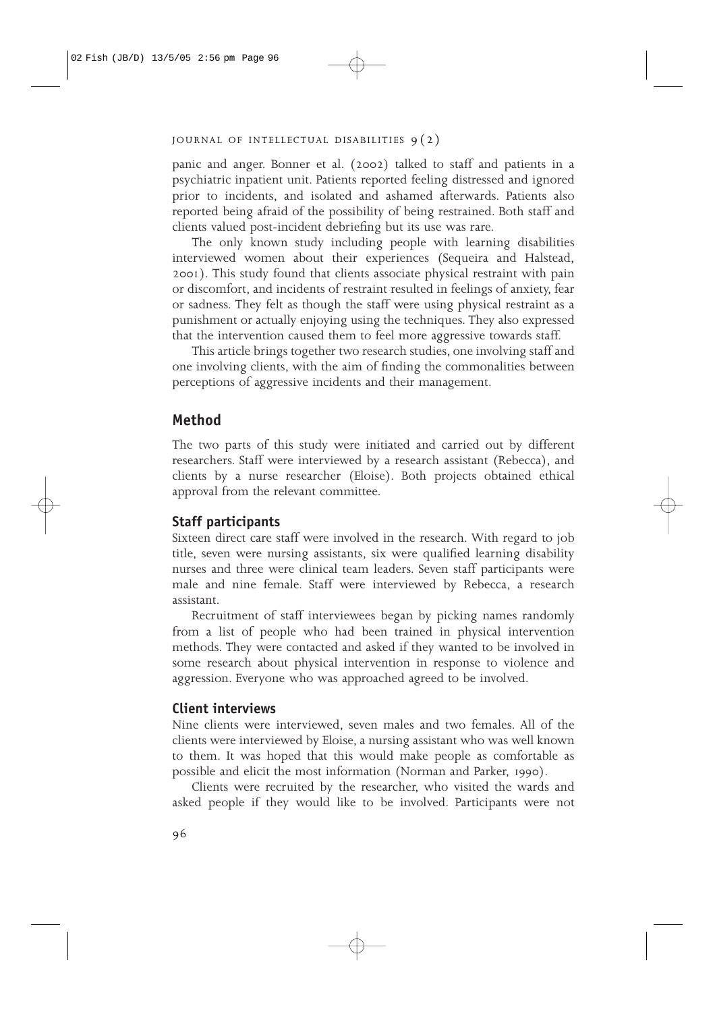panic and anger. Bonner et al. (2002) talked to staff and patients in a psychiatric inpatient unit. Patients reported feeling distressed and ignored prior to incidents, and isolated and ashamed afterwards. Patients also reported being afraid of the possibility of being restrained. Both staff and clients valued post-incident debriefing but its use was rare.

The only known study including people with learning disabilities interviewed women about their experiences (Sequeira and Halstead, 2001). This study found that clients associate physical restraint with pain or discomfort, and incidents of restraint resulted in feelings of anxiety, fear or sadness. They felt as though the staff were using physical restraint as a punishment or actually enjoying using the techniques. They also expressed that the intervention caused them to feel more aggressive towards staff.

This article brings together two research studies, one involving staff and one involving clients, with the aim of finding the commonalities between perceptions of aggressive incidents and their management.

## **Method**

The two parts of this study were initiated and carried out by different researchers. Staff were interviewed by a research assistant (Rebecca), and clients by a nurse researcher (Eloise). Both projects obtained ethical approval from the relevant committee.

## **Staff participants**

Sixteen direct care staff were involved in the research. With regard to job title, seven were nursing assistants, six were qualified learning disability nurses and three were clinical team leaders. Seven staff participants were male and nine female. Staff were interviewed by Rebecca, a research assistant.

Recruitment of staff interviewees began by picking names randomly from a list of people who had been trained in physical intervention methods. They were contacted and asked if they wanted to be involved in some research about physical intervention in response to violence and aggression. Everyone who was approached agreed to be involved.

## **Client interviews**

Nine clients were interviewed, seven males and two females. All of the clients were interviewed by Eloise, a nursing assistant who was well known to them. It was hoped that this would make people as comfortable as possible and elicit the most information (Norman and Parker, 1990).

Clients were recruited by the researcher, who visited the wards and asked people if they would like to be involved. Participants were not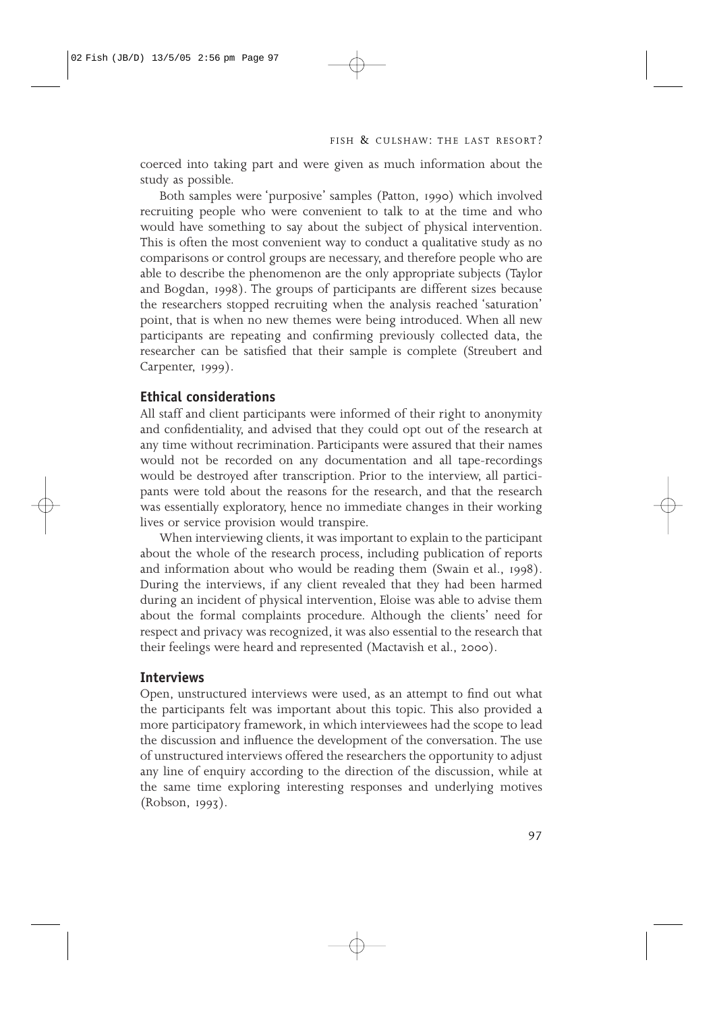coerced into taking part and were given as much information about the study as possible.

Both samples were 'purposive' samples (Patton, 1990) which involved recruiting people who were convenient to talk to at the time and who would have something to say about the subject of physical intervention. This is often the most convenient way to conduct a qualitative study as no comparisons or control groups are necessary, and therefore people who are able to describe the phenomenon are the only appropriate subjects (Taylor and Bogdan, 1998). The groups of participants are different sizes because the researchers stopped recruiting when the analysis reached 'saturation' point, that is when no new themes were being introduced. When all new participants are repeating and confirming previously collected data, the researcher can be satisfied that their sample is complete (Streubert and Carpenter, 1999).

## **Ethical considerations**

All staff and client participants were informed of their right to anonymity and confidentiality, and advised that they could opt out of the research at any time without recrimination. Participants were assured that their names would not be recorded on any documentation and all tape-recordings would be destroyed after transcription. Prior to the interview, all participants were told about the reasons for the research, and that the research was essentially exploratory, hence no immediate changes in their working lives or service provision would transpire.

When interviewing clients, it was important to explain to the participant about the whole of the research process, including publication of reports and information about who would be reading them (Swain et al., 1998). During the interviews, if any client revealed that they had been harmed during an incident of physical intervention, Eloise was able to advise them about the formal complaints procedure. Although the clients' need for respect and privacy was recognized, it was also essential to the research that their feelings were heard and represented (Mactavish et al., 2000).

#### **Interviews**

Open, unstructured interviews were used, as an attempt to find out what the participants felt was important about this topic. This also provided a more participatory framework, in which interviewees had the scope to lead the discussion and influence the development of the conversation. The use of unstructured interviews offered the researchers the opportunity to adjust any line of enquiry according to the direction of the discussion, while at the same time exploring interesting responses and underlying motives (Robson, 1993).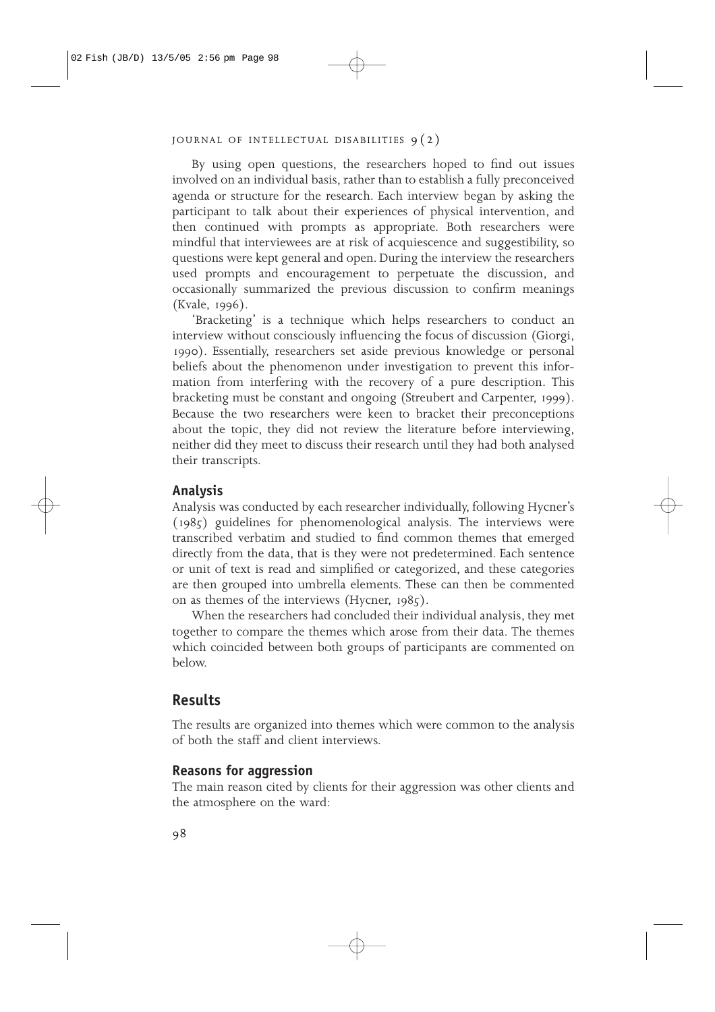By using open questions, the researchers hoped to find out issues involved on an individual basis, rather than to establish a fully preconceived agenda or structure for the research. Each interview began by asking the participant to talk about their experiences of physical intervention, and then continued with prompts as appropriate. Both researchers were mindful that interviewees are at risk of acquiescence and suggestibility, so questions were kept general and open. During the interview the researchers used prompts and encouragement to perpetuate the discussion, and occasionally summarized the previous discussion to confirm meanings (Kvale, 1996).

'Bracketing' is a technique which helps researchers to conduct an interview without consciously influencing the focus of discussion (Giorgi, 1990). Essentially, researchers set aside previous knowledge or personal beliefs about the phenomenon under investigation to prevent this information from interfering with the recovery of a pure description. This bracketing must be constant and ongoing (Streubert and Carpenter, 1999). Because the two researchers were keen to bracket their preconceptions about the topic, they did not review the literature before interviewing, neither did they meet to discuss their research until they had both analysed their transcripts.

## **Analysis**

Analysis was conducted by each researcher individually, following Hycner's (1985) guidelines for phenomenological analysis. The interviews were transcribed verbatim and studied to find common themes that emerged directly from the data, that is they were not predetermined. Each sentence or unit of text is read and simplified or categorized, and these categories are then grouped into umbrella elements. These can then be commented on as themes of the interviews (Hycner, 1985).

When the researchers had concluded their individual analysis, they met together to compare the themes which arose from their data. The themes which coincided between both groups of participants are commented on below.

## **Results**

The results are organized into themes which were common to the analysis of both the staff and client interviews.

#### **Reasons for aggression**

The main reason cited by clients for their aggression was other clients and the atmosphere on the ward: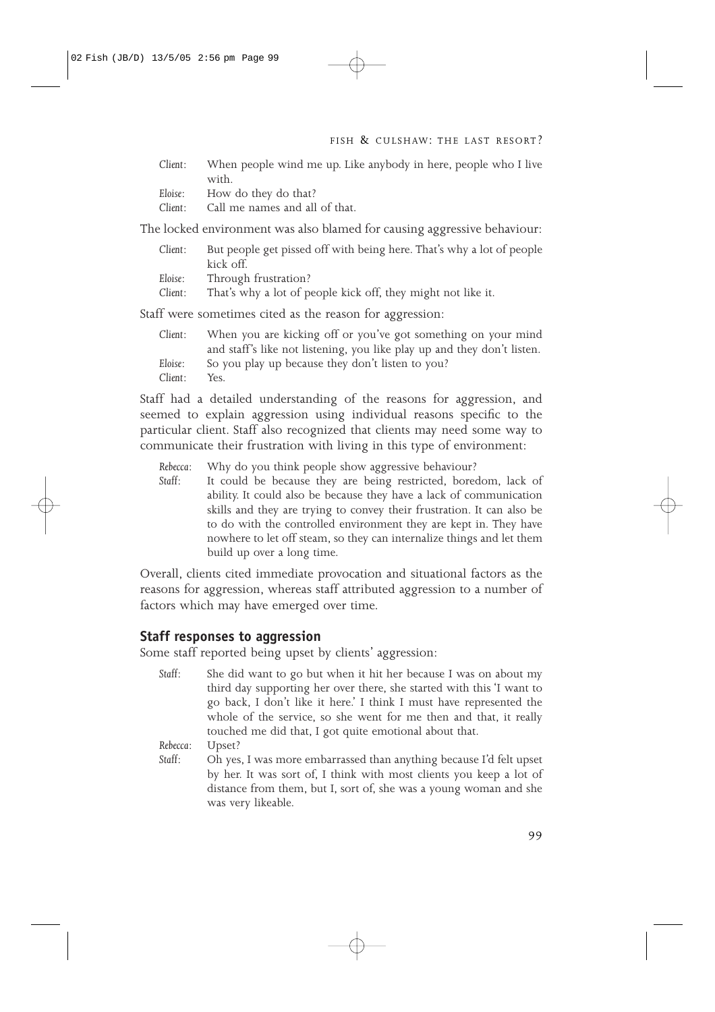*Client*: When people wind me up. Like anybody in here, people who I live with.

| Eloise:<br>How do they do that? |  |  |  |
|---------------------------------|--|--|--|
|---------------------------------|--|--|--|

*Client*: Call me names and all of that.

The locked environment was also blamed for causing aggressive behaviour:

| Client: | But people get pissed off with being here. That's why a lot of people<br>kick off. |
|---------|------------------------------------------------------------------------------------|
| Eloise: | Through frustration?                                                               |
| Client: | That's why a lot of people kick off, they might not like it.                       |

Staff were sometimes cited as the reason for aggression:

| Client: | When you are kicking off or you've got something on your mind           |
|---------|-------------------------------------------------------------------------|
|         | and staff's like not listening, you like play up and they don't listen. |
| Eloise: | So you play up because they don't listen to you?                        |
| Client: | Yes.                                                                    |

Staff had a detailed understanding of the reasons for aggression, and seemed to explain aggression using individual reasons specific to the particular client. Staff also recognized that clients may need some way to communicate their frustration with living in this type of environment:

*Rebecca*: Why do you think people show aggressive behaviour?

It could be because they are being restricted, boredom, lack of ability. It could also be because they have a lack of communication skills and they are trying to convey their frustration. It can also be to do with the controlled environment they are kept in. They have nowhere to let off steam, so they can internalize things and let them build up over a long time.

Overall, clients cited immediate provocation and situational factors as the reasons for aggression, whereas staff attributed aggression to a number of factors which may have emerged over time.

## **Staff responses to aggression**

Some staff reported being upset by clients' aggression:

*Staff*: She did want to go but when it hit her because I was on about my third day supporting her over there, she started with this 'I want to go back, I don't like it here.' I think I must have represented the whole of the service, so she went for me then and that, it really touched me did that, I got quite emotional about that.

*Rebecca*: Upset?

*Staff*: Oh yes, I was more embarrassed than anything because I'd felt upset by her. It was sort of, I think with most clients you keep a lot of distance from them, but I, sort of, she was a young woman and she was very likeable.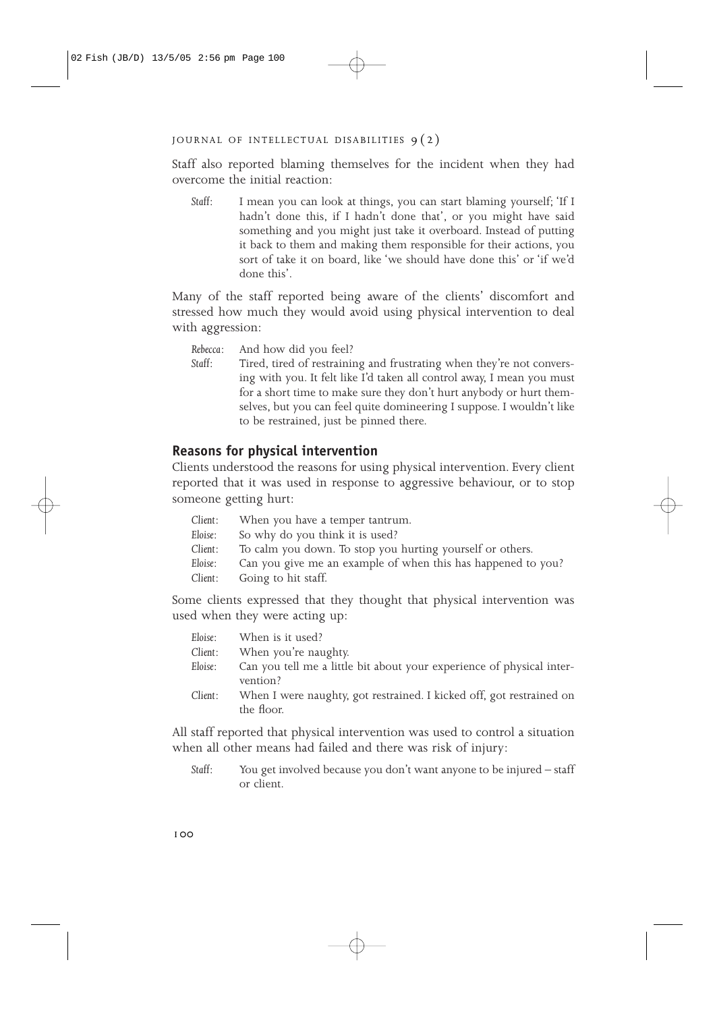Staff also reported blaming themselves for the incident when they had overcome the initial reaction:

*Staff*: I mean you can look at things, you can start blaming yourself; 'If I hadn't done this, if I hadn't done that', or you might have said something and you might just take it overboard. Instead of putting it back to them and making them responsible for their actions, you sort of take it on board, like 'we should have done this' or 'if we'd done this'.

Many of the staff reported being aware of the clients' discomfort and stressed how much they would avoid using physical intervention to deal with aggression:

- *Rebecca*: And how did you feel?
- *Staff*: Tired, tired of restraining and frustrating when they're not conversing with you. It felt like I'd taken all control away, I mean you must for a short time to make sure they don't hurt anybody or hurt themselves, but you can feel quite domineering I suppose. I wouldn't like to be restrained, just be pinned there.

## **Reasons for physical intervention**

Clients understood the reasons for using physical intervention. Every client reported that it was used in response to aggressive behaviour, or to stop someone getting hurt:

| Client: | When you have a temper tantrum.                              |
|---------|--------------------------------------------------------------|
| Eloise: | So why do you think it is used?                              |
| Client: | To calm you down. To stop you hurting yourself or others.    |
| Eloise: | Can you give me an example of when this has happened to you? |
| Client: | Going to hit staff.                                          |

Some clients expressed that they thought that physical intervention was used when they were acting up:

| Eloise: | When is it used?                                                                   |
|---------|------------------------------------------------------------------------------------|
| Client: | When you're naughty.                                                               |
| Eloise: | Can you tell me a little bit about your experience of physical inter-<br>vention?  |
| Client: | When I were naughty, got restrained. I kicked off, got restrained on<br>the floor. |

All staff reported that physical intervention was used to control a situation when all other means had failed and there was risk of injury:

*Staff*: You get involved because you don't want anyone to be injured – staff or client.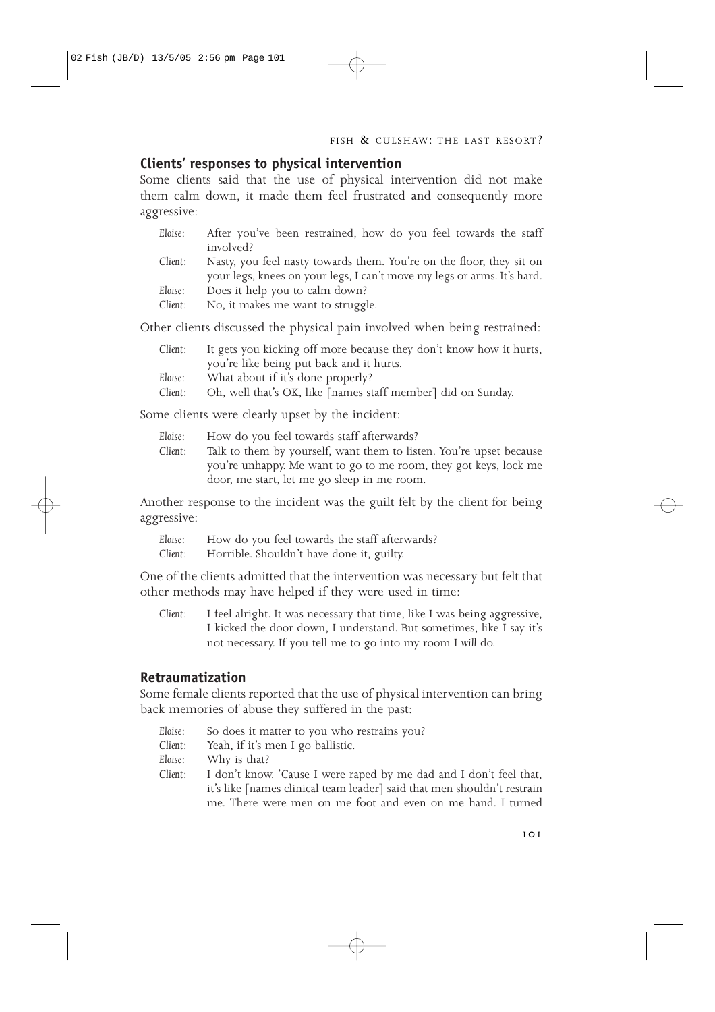## **Clients' responses to physical intervention**

Some clients said that the use of physical intervention did not make them calm down, it made them feel frustrated and consequently more aggressive:

| Eloise: | After you've been restrained, how do you feel towards the staff         |
|---------|-------------------------------------------------------------------------|
|         | involved?                                                               |
| Client: | Nasty, you feel nasty towards them. You're on the floor, they sit on    |
|         | your legs, knees on your legs, I can't move my legs or arms. It's hard. |
| Eloise: | Does it help you to calm down?                                          |
| Client: | No, it makes me want to struggle.                                       |

Other clients discussed the physical pain involved when being restrained:

| Client:       | It gets you kicking off more because they don't know how it hurts, |
|---------------|--------------------------------------------------------------------|
|               | you're like being put back and it hurts.                           |
| Eloise:       | What about if it's done properly?                                  |
| $\sim$ $\sim$ |                                                                    |

*Client*: Oh, well that's OK, like [names staff member] did on Sunday.

Some clients were clearly upset by the incident:

| Eloise: | How do you feel towards staff afterwards?                           |
|---------|---------------------------------------------------------------------|
| Client: | Talk to them by yourself, want them to listen. You're upset because |
|         | you're unhappy. Me want to go to me room, they got keys, lock me    |
|         | door, me start, let me go sleep in me room.                         |

Another response to the incident was the guilt felt by the client for being aggressive:

| Eloise: | How do you feel towards the staff afterwards? |
|---------|-----------------------------------------------|
| Client: | Horrible. Shouldn't have done it, guilty.     |

One of the clients admitted that the intervention was necessary but felt that other methods may have helped if they were used in time:

*Client*: I feel alright. It was necessary that time, like I was being aggressive, I kicked the door down, I understand. But sometimes, like I say it's not necessary. If you tell me to go into my room I *will* do.

## **Retraumatization**

Some female clients reported that the use of physical intervention can bring back memories of abuse they suffered in the past:

- *Eloise*: So does it matter to you who restrains you?
- *Client*: Yeah, if it's men I go ballistic.
- *Eloise*: Why is that?
- *Client*: I don't know. 'Cause I were raped by me dad and I don't feel that, it's like [names clinical team leader] said that men shouldn't restrain me. There were men on me foot and even on me hand. I turned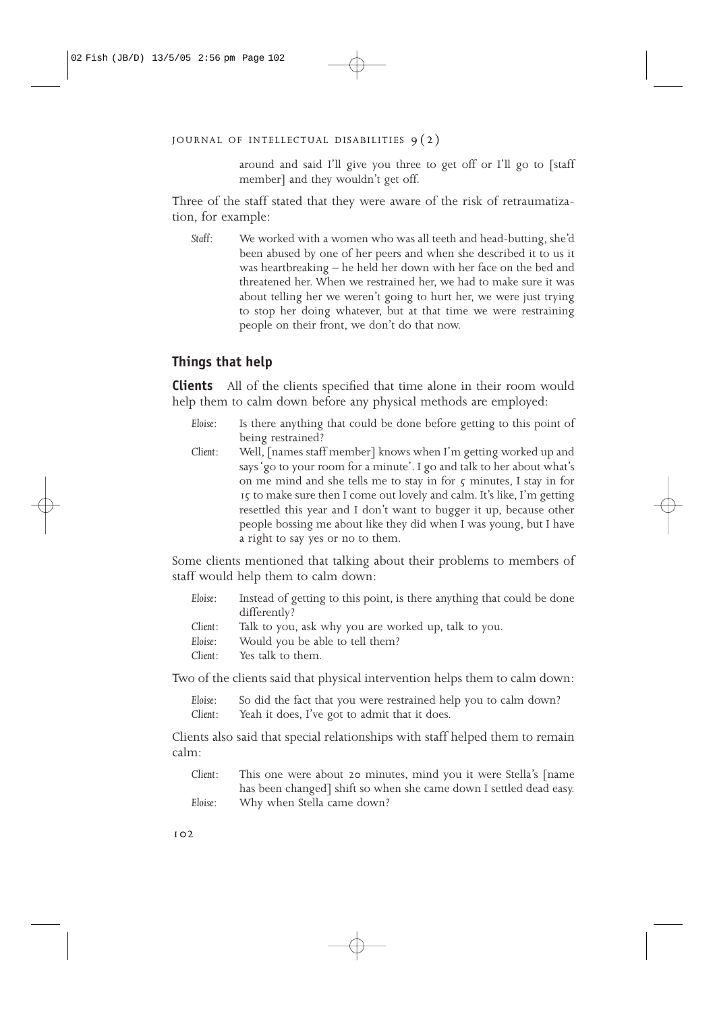around and said I'll give you three to get off or I'll go to [staff member] and they wouldn't get off.

Three of the staff stated that they were aware of the risk of retraumatization, for example:

*Staff*: We worked with a women who was all teeth and head-butting, she'd been abused by one of her peers and when she described it to us it was heartbreaking – he held her down with her face on the bed and threatened her. When we restrained her, we had to make sure it was about telling her we weren't going to hurt her, we were just trying to stop her doing whatever, but at that time we were restraining people on their front, we don't do that now.

# **Things that help**

**Clients** All of the clients specified that time alone in their room would help them to calm down before any physical methods are employed:

- *Eloise*: Is there anything that could be done before getting to this point of being restrained?
- *Client*: Well, [names staff member] knows when I'm getting worked up and says 'go to your room for a minute'. I go and talk to her about what's on me mind and she tells me to stay in for  $\zeta$  minutes, I stay in for 15 to make sure then I come out lovely and calm. It's like, I'm getting resettled this year and I don't want to bugger it up, because other people bossing me about like they did when I was young, but I have a right to say yes or no to them.

Some clients mentioned that talking about their problems to members of staff would help them to calm down:

| Eloise: | Instead of getting to this point, is there anything that could be done |
|---------|------------------------------------------------------------------------|
|         | differently?                                                           |
| Client: | Talk to you, ask why you are worked up, talk to you.                   |
| Eloise: | Would you be able to tell them?                                        |
| Client: | Yes talk to them.                                                      |

Two of the clients said that physical intervention helps them to calm down:

*Eloise*: So did the fact that you were restrained help you to calm down? *Client*: Yeah it does, I've got to admit that it does.

Clients also said that special relationships with staff helped them to remain calm:

*Client*: This one were about 20 minutes, mind you it were Stella's [name has been changed] shift so when she came down I settled dead easy. *Eloise*: Why when Stella came down?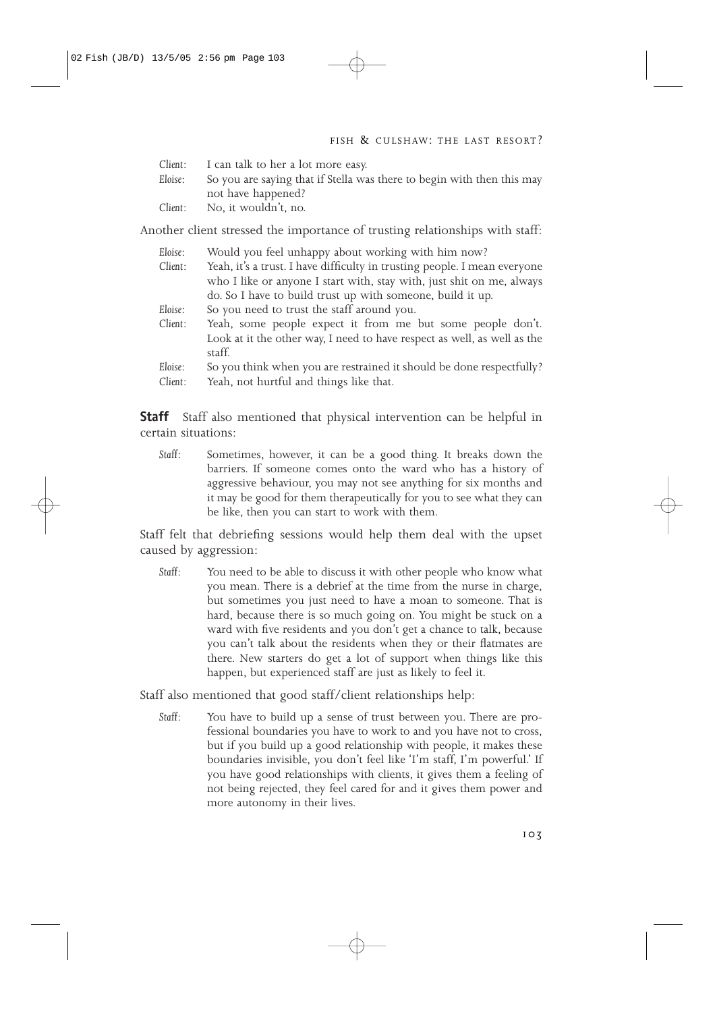| Client: | I can talk to her a lot more easy.                                     |
|---------|------------------------------------------------------------------------|
| Eloise: | So you are saying that if Stella was there to begin with then this may |
|         | not have happened?                                                     |
| Client: | No, it wouldn't, no.                                                   |

Another client stressed the importance of trusting relationships with staff:

| Would you feel unhappy about working with him now?                                 |
|------------------------------------------------------------------------------------|
| Yeah, it's a trust. I have difficulty in trusting people. I mean everyone          |
| who I like or anyone I start with, stay with, just shit on me, always              |
| do. So I have to build trust up with someone, build it up.                         |
| So you need to trust the staff around you.                                         |
| Yeah, some people expect it from me but some people don't.                         |
| Look at it the other way, I need to have respect as well, as well as the<br>staff. |
| So you think when you are restrained it should be done respectfully?               |
| Yeah, not hurtful and things like that.                                            |
|                                                                                    |

**Staff** Staff also mentioned that physical intervention can be helpful in certain situations:

*Staff*: Sometimes, however, it can be a good thing. It breaks down the barriers. If someone comes onto the ward who has a history of aggressive behaviour, you may not see anything for six months and it may be good for them therapeutically for you to see what they can be like, then you can start to work with them.

Staff felt that debriefing sessions would help them deal with the upset caused by aggression:

*Staff*: You need to be able to discuss it with other people who know what you mean. There is a debrief at the time from the nurse in charge, but sometimes you just need to have a moan to someone. That is hard, because there is so much going on. You might be stuck on a ward with five residents and you don't get a chance to talk, because you can't talk about the residents when they or their flatmates are there. New starters do get a lot of support when things like this happen, but experienced staff are just as likely to feel it.

Staff also mentioned that good staff/client relationships help:

*Staff*: You have to build up a sense of trust between you. There are professional boundaries you have to work to and you have not to cross, but if you build up a good relationship with people, it makes these boundaries invisible, you don't feel like 'I'm staff, I'm powerful.' If you have good relationships with clients, it gives them a feeling of not being rejected, they feel cared for and it gives them power and more autonomy in their lives.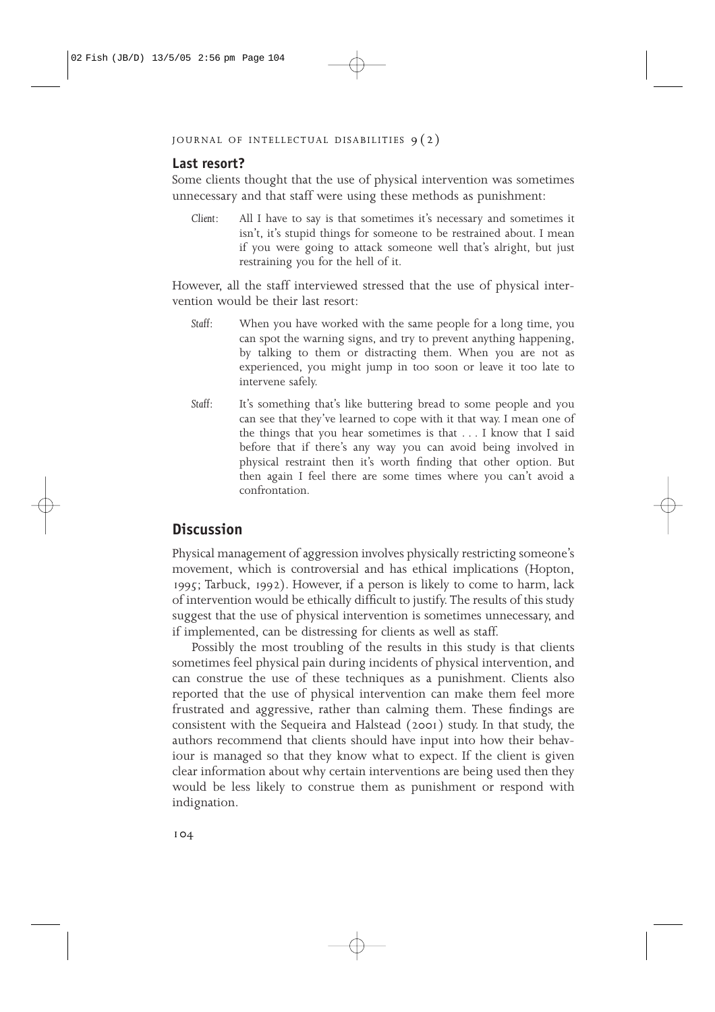## **Last resort?**

Some clients thought that the use of physical intervention was sometimes unnecessary and that staff were using these methods as punishment:

*Client*: All I have to say is that sometimes it's necessary and sometimes it isn't, it's stupid things for someone to be restrained about. I mean if you were going to attack someone well that's alright, but just restraining you for the hell of it.

However, all the staff interviewed stressed that the use of physical intervention would be their last resort:

- *Staff*: When you have worked with the same people for a long time, you can spot the warning signs, and try to prevent anything happening, by talking to them or distracting them. When you are not as experienced, you might jump in too soon or leave it too late to intervene safely.
- *Staff*: It's something that's like buttering bread to some people and you can see that they've learned to cope with it that way. I mean one of the things that you hear sometimes is that . . . I know that I said before that if there's any way you can avoid being involved in physical restraint then it's worth finding that other option. But then again I feel there are some times where you can't avoid a confrontation.

# **Discussion**

Physical management of aggression involves physically restricting someone's movement, which is controversial and has ethical implications (Hopton, 1995; Tarbuck, 1992). However, if a person is likely to come to harm, lack of intervention would be ethically difficult to justify. The results of this study suggest that the use of physical intervention is sometimes unnecessary, and if implemented, can be distressing for clients as well as staff.

Possibly the most troubling of the results in this study is that clients sometimes feel physical pain during incidents of physical intervention, and can construe the use of these techniques as a punishment. Clients also reported that the use of physical intervention can make them feel more frustrated and aggressive, rather than calming them. These findings are consistent with the Sequeira and Halstead (2001) study. In that study, the authors recommend that clients should have input into how their behaviour is managed so that they know what to expect. If the client is given clear information about why certain interventions are being used then they would be less likely to construe them as punishment or respond with indignation.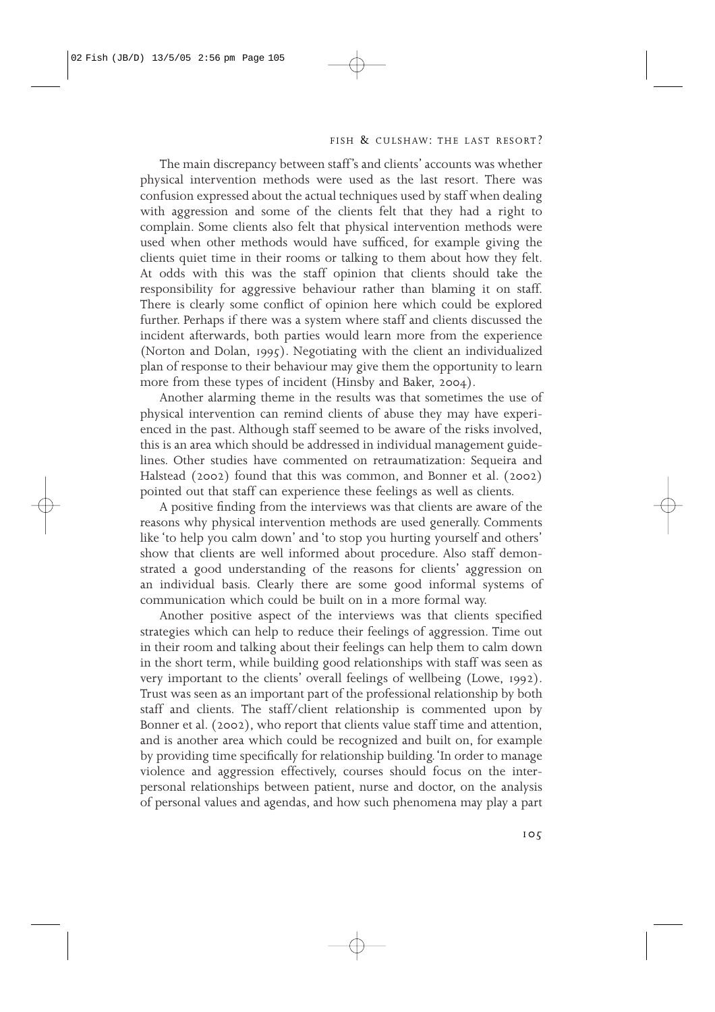The main discrepancy between staff's and clients' accounts was whether physical intervention methods were used as the last resort. There was confusion expressed about the actual techniques used by staff when dealing with aggression and some of the clients felt that they had a right to complain. Some clients also felt that physical intervention methods were used when other methods would have sufficed, for example giving the clients quiet time in their rooms or talking to them about how they felt. At odds with this was the staff opinion that clients should take the responsibility for aggressive behaviour rather than blaming it on staff. There is clearly some conflict of opinion here which could be explored further. Perhaps if there was a system where staff and clients discussed the incident afterwards, both parties would learn more from the experience (Norton and Dolan, 1995). Negotiating with the client an individualized plan of response to their behaviour may give them the opportunity to learn more from these types of incident (Hinsby and Baker, 2004).

Another alarming theme in the results was that sometimes the use of physical intervention can remind clients of abuse they may have experienced in the past. Although staff seemed to be aware of the risks involved, this is an area which should be addressed in individual management guidelines. Other studies have commented on retraumatization: Sequeira and Halstead (2002) found that this was common, and Bonner et al. (2002) pointed out that staff can experience these feelings as well as clients.

A positive finding from the interviews was that clients are aware of the reasons why physical intervention methods are used generally. Comments like 'to help you calm down' and 'to stop you hurting yourself and others' show that clients are well informed about procedure. Also staff demonstrated a good understanding of the reasons for clients' aggression on an individual basis. Clearly there are some good informal systems of communication which could be built on in a more formal way.

Another positive aspect of the interviews was that clients specified strategies which can help to reduce their feelings of aggression. Time out in their room and talking about their feelings can help them to calm down in the short term, while building good relationships with staff was seen as very important to the clients' overall feelings of wellbeing (Lowe, 1992). Trust was seen as an important part of the professional relationship by both staff and clients. The staff/client relationship is commented upon by Bonner et al. (2002), who report that clients value staff time and attention, and is another area which could be recognized and built on, for example by providing time specifically for relationship building.'In order to manage violence and aggression effectively, courses should focus on the interpersonal relationships between patient, nurse and doctor, on the analysis of personal values and agendas, and how such phenomena may play a part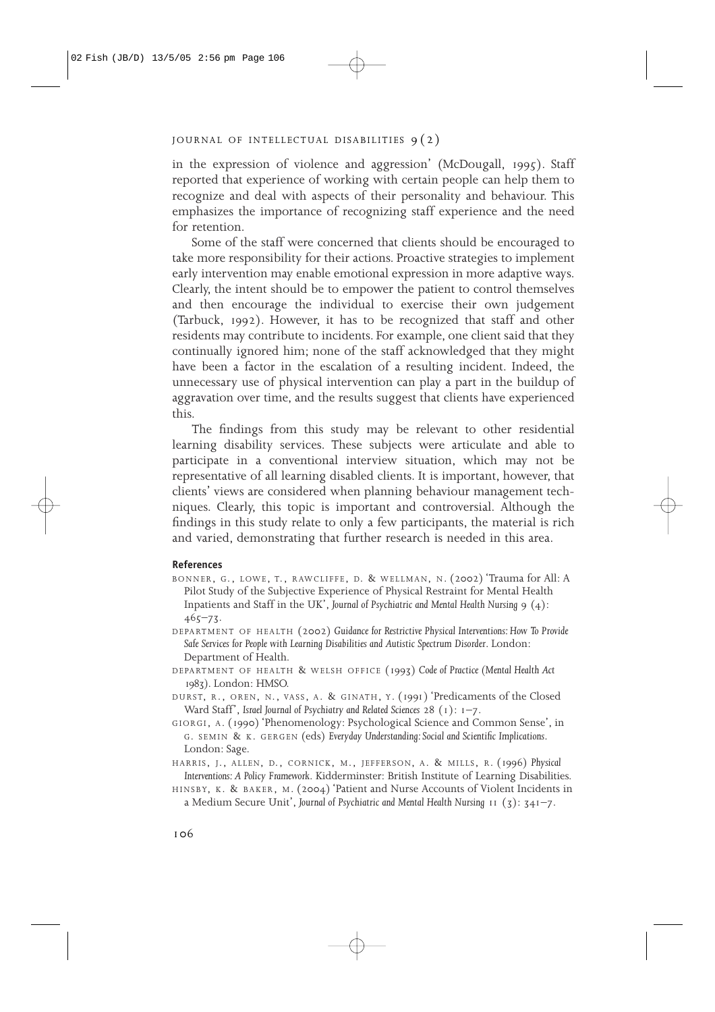in the expression of violence and aggression' (McDougall, 1995). Staff reported that experience of working with certain people can help them to recognize and deal with aspects of their personality and behaviour. This emphasizes the importance of recognizing staff experience and the need for retention.

Some of the staff were concerned that clients should be encouraged to take more responsibility for their actions. Proactive strategies to implement early intervention may enable emotional expression in more adaptive ways. Clearly, the intent should be to empower the patient to control themselves and then encourage the individual to exercise their own judgement (Tarbuck, 1992). However, it has to be recognized that staff and other residents may contribute to incidents. For example, one client said that they continually ignored him; none of the staff acknowledged that they might have been a factor in the escalation of a resulting incident. Indeed, the unnecessary use of physical intervention can play a part in the buildup of aggravation over time, and the results suggest that clients have experienced this.

The findings from this study may be relevant to other residential learning disability services. These subjects were articulate and able to participate in a conventional interview situation, which may not be representative of all learning disabled clients. It is important, however, that clients' views are considered when planning behaviour management techniques. Clearly, this topic is important and controversial. Although the findings in this study relate to only a few participants, the material is rich and varied, demonstrating that further research is needed in this area.

#### **References**

- BONNER, G., LOWE, T., RAWCLIFFE, D. & WELLMAN, N. (2002) 'Trauma for All: A Pilot Study of the Subjective Experience of Physical Restraint for Mental Health Inpatients and Staff in the UK', *Journal of Psychiatric and Mental Health Nursing* 9 (4): 465–73.
- DEPARTMENT OF HEALTH (2002) *Guidance for Restrictive Physical Interventions: How To Provide Safe Services for People with Learning Disabilities and Autistic Spectrum Disorder*. London: Department of Health.
- DEPARTMENT OF HEALTH & WELSH OFFICE (1993) *Code of Practice (Mental Health Act* 1983*)*. London: HMSO.
- DURST, R., OREN, N., VASS , A. & GINATH, Y. (1991) 'Predicaments of the Closed Ward Staff', *Israel Journal of Psychiatry and Related Sciences* 28 (1): 1–7.
- GIORGI, A. (1990) 'Phenomenology: Psychological Science and Common Sense', in G. SEMIN & K. GERGEN (eds) *Everyday Understanding: Social and Scientific Implications*. London: Sage.
- HARRIS, J., ALLEN, D., CORNICK, M., JEFFERSON, A. & MILLS, R. (1996) Physical *Interventions: A Policy Framework*. Kidderminster: British Institute of Learning Disabilities.
- HINSBY, K. & BAKER, <sup>M</sup> . (2004) 'Patient and Nurse Accounts of Violent Incidents in a Medium Secure Unit', *Journal of Psychiatric and Mental Health Nursing* 11 (3): 341–7.